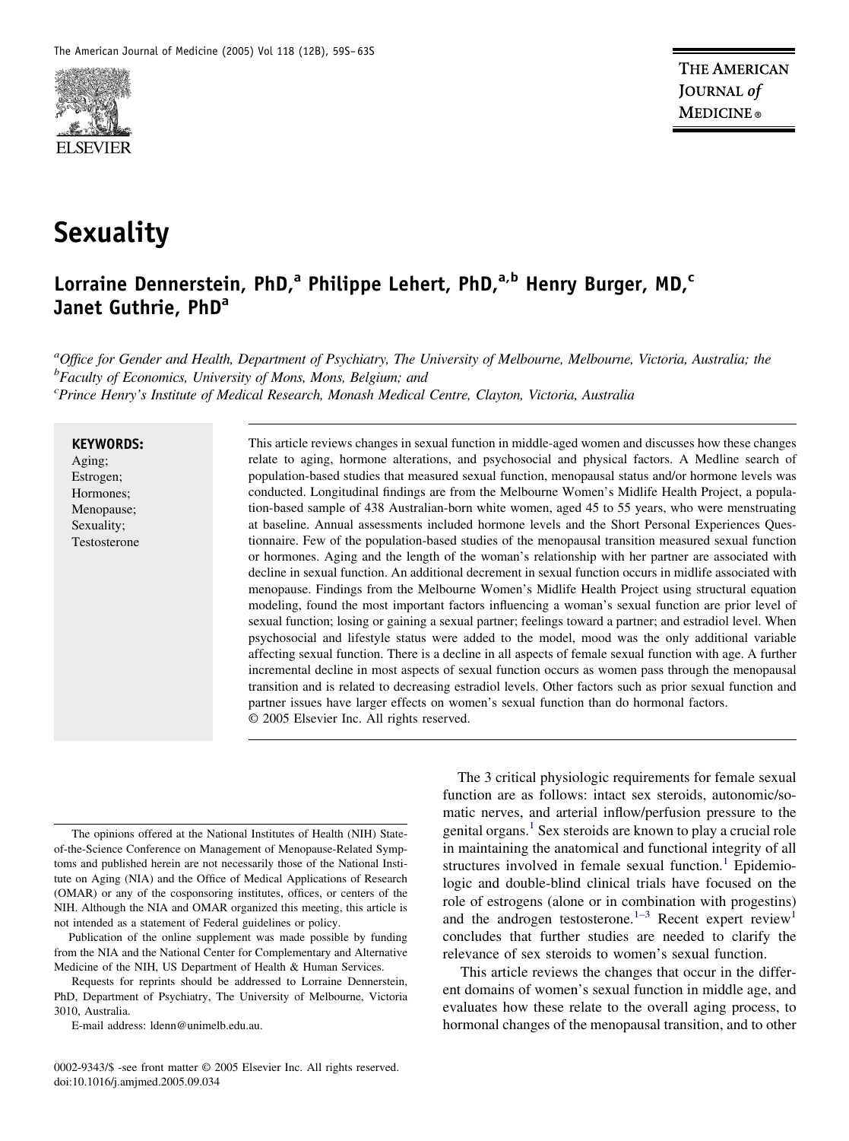

# **Sexuality**

# **Lorraine Dennerstein, PhD,<sup>a</sup> Philippe Lehert, PhD,a,b Henry Burger, MD,<sup>c</sup> Janet Guthrie, PhD<sup>a</sup>**

*a Office for Gender and Health, Department of Psychiatry, The University of Melbourne, Melbourne, Victoria, Australia; the b Faculty of Economics, University of Mons, Mons, Belgium; and c Prince Henry's Institute of Medical Research, Monash Medical Centre, Clayton, Victoria, Australia*

#### **KEYWORDS:**

Aging; Estrogen; Hormones; Menopause; Sexuality; Testosterone This article reviews changes in sexual function in middle-aged women and discusses how these changes relate to aging, hormone alterations, and psychosocial and physical factors. A Medline search of population-based studies that measured sexual function, menopausal status and/or hormone levels was conducted. Longitudinal findings are from the Melbourne Women's Midlife Health Project, a population-based sample of 438 Australian-born white women, aged 45 to 55 years, who were menstruating at baseline. Annual assessments included hormone levels and the Short Personal Experiences Questionnaire. Few of the population-based studies of the menopausal transition measured sexual function or hormones. Aging and the length of the woman's relationship with her partner are associated with decline in sexual function. An additional decrement in sexual function occurs in midlife associated with menopause. Findings from the Melbourne Women's Midlife Health Project using structural equation modeling, found the most important factors influencing a woman's sexual function are prior level of sexual function; losing or gaining a sexual partner; feelings toward a partner; and estradiol level. When psychosocial and lifestyle status were added to the model, mood was the only additional variable affecting sexual function. There is a decline in all aspects of female sexual function with age. A further incremental decline in most aspects of sexual function occurs as women pass through the menopausal transition and is related to decreasing estradiol levels. Other factors such as prior sexual function and partner issues have larger effects on women's sexual function than do hormonal factors. © 2005 Elsevier Inc. All rights reserved.

The opinions offered at the National Institutes of Health (NIH) Stateof-the-Science Conference on Management of Menopause-Related Symptoms and published herein are not necessarily those of the National Institute on Aging (NIA) and the Office of Medical Applications of Research (OMAR) or any of the cosponsoring institutes, offices, or centers of the NIH. Although the NIA and OMAR organized this meeting, this article is not intended as a statement of Federal guidelines or policy.

Publication of the online supplement was made possible by funding from the NIA and the National Center for Complementary and Alternative Medicine of the NIH, US Department of Health & Human Services.

Requests for reprints should be addressed to Lorraine Dennerstein, PhD, Department of Psychiatry, The University of Melbourne, Victoria 3010, Australia.

E-mail address: ldenn@unimelb.edu.au.

0002-9343/\$ -see front matter © 2005 Elsevier Inc. All rights reserved. doi:10.1016/j.amjmed.2005.09.034

The 3 critical physiologic requirements for female sexual function are as follows: intact sex steroids, autonomic/somatic nerves, and arterial inflow/perfusion pressure to the genital organs.<sup>1</sup> Sex steroids are known to play a crucial role in maintaining the anatomical and functional integrity of all structures involved in female sexual function.<sup>1</sup> Epidemiologic and double-blind clinical trials have focused on the role of estrogens (alone or in combination with progestins) and the androgen testosterone. $1-3$  Recent expert review<sup>1</sup> concludes that further studies are needed to clarify the relevance of sex steroids to women's sexual function.

This article reviews the changes that occur in the different domains of women's sexual function in middle age, and evaluates how these relate to the overall aging process, to hormonal changes of the menopausal transition, and to other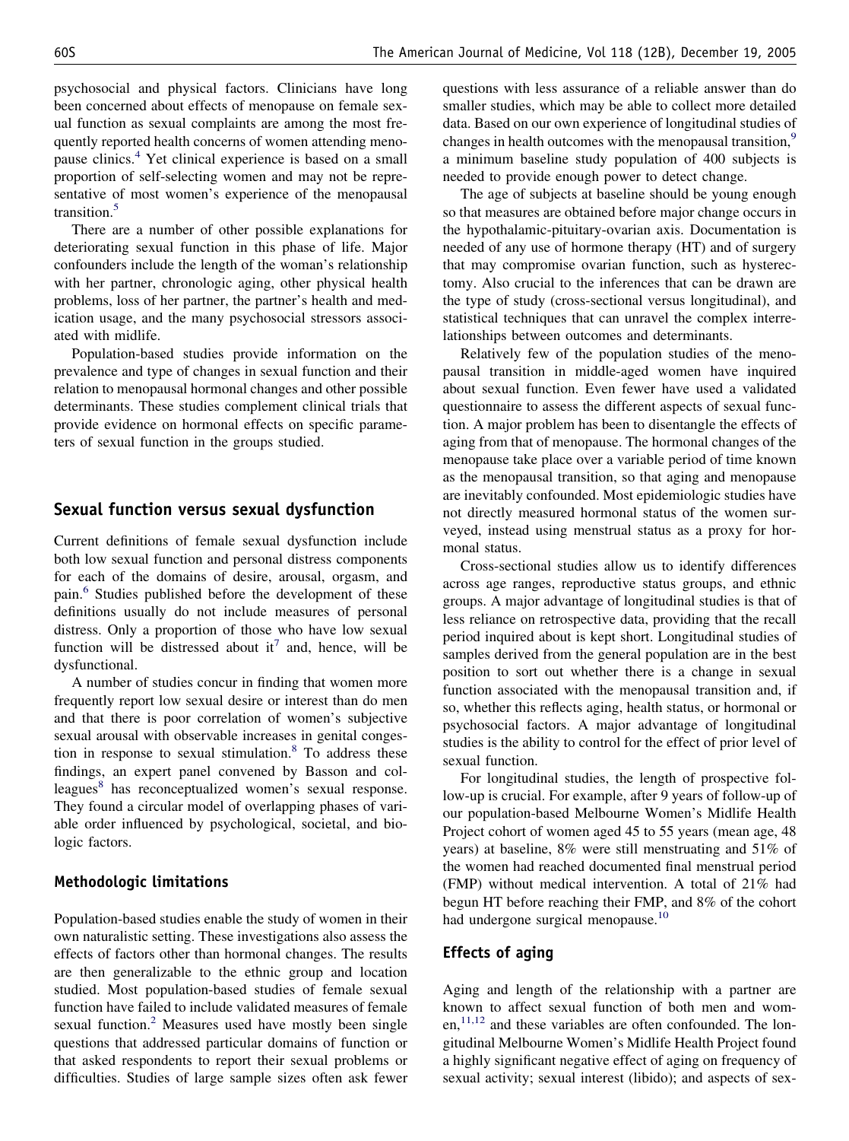psychosocial and physical factors. Clinicians have long been concerned about effects of menopause on female sexual function as sexual complaints are among the most frequently reported health concerns of women attending menopause clinics[.4](#page-4-0) Yet clinical experience is based on a small proportion of self-selecting women and may not be representative of most women's experience of the menopausal transition.<sup>5</sup>

There are a number of other possible explanations for deteriorating sexual function in this phase of life. Major confounders include the length of the woman's relationship with her partner, chronologic aging, other physical health problems, loss of her partner, the partner's health and medication usage, and the many psychosocial stressors associated with midlife.

Population-based studies provide information on the prevalence and type of changes in sexual function and their relation to menopausal hormonal changes and other possible determinants. These studies complement clinical trials that provide evidence on hormonal effects on specific parameters of sexual function in the groups studied.

# **Sexual function versus sexual dysfunction**

Current definitions of female sexual dysfunction include both low sexual function and personal distress components for each of the domains of desire, arousal, orgasm, and pain.<sup>6</sup> Studies published before the development of these definitions usually do not include measures of personal distress. Only a proportion of those who have low sexual function will be distressed about it<sup>7</sup> and, hence, will be dysfunctional.

A number of studies concur in finding that women more frequently report low sexual desire or interest than do men and that there is poor correlation of women's subjective sexual arousal with observable increases in genital congestion in response to sexual stimulation[.8](#page-4-0) To address these findings, an expert panel convened by Basson and colleagues<sup>8</sup> has reconceptualized women's sexual response. They found a circular model of overlapping phases of variable order influenced by psychological, societal, and biologic factors.

#### **Methodologic limitations**

Population-based studies enable the study of women in their own naturalistic setting. These investigations also assess the effects of factors other than hormonal changes. The results are then generalizable to the ethnic group and location studied. Most population-based studies of female sexual function have failed to include validated measures of female sexual function. $2$  Measures used have mostly been single questions that addressed particular domains of function or that asked respondents to report their sexual problems or difficulties. Studies of large sample sizes often ask fewer questions with less assurance of a reliable answer than do smaller studies, which may be able to collect more detailed data. Based on our own experience of longitudinal studies of changes in health outcomes with the menopausal transition,<sup>9</sup> a minimum baseline study population of 400 subjects is needed to provide enough power to detect change.

The age of subjects at baseline should be young enough so that measures are obtained before major change occurs in the hypothalamic-pituitary-ovarian axis. Documentation is needed of any use of hormone therapy (HT) and of surgery that may compromise ovarian function, such as hysterectomy. Also crucial to the inferences that can be drawn are the type of study (cross-sectional versus longitudinal), and statistical techniques that can unravel the complex interrelationships between outcomes and determinants.

Relatively few of the population studies of the menopausal transition in middle-aged women have inquired about sexual function. Even fewer have used a validated questionnaire to assess the different aspects of sexual function. A major problem has been to disentangle the effects of aging from that of menopause. The hormonal changes of the menopause take place over a variable period of time known as the menopausal transition, so that aging and menopause are inevitably confounded. Most epidemiologic studies have not directly measured hormonal status of the women surveyed, instead using menstrual status as a proxy for hormonal status.

Cross-sectional studies allow us to identify differences across age ranges, reproductive status groups, and ethnic groups. A major advantage of longitudinal studies is that of less reliance on retrospective data, providing that the recall period inquired about is kept short. Longitudinal studies of samples derived from the general population are in the best position to sort out whether there is a change in sexual function associated with the menopausal transition and, if so, whether this reflects aging, health status, or hormonal or psychosocial factors. A major advantage of longitudinal studies is the ability to control for the effect of prior level of sexual function.

For longitudinal studies, the length of prospective follow-up is crucial. For example, after 9 years of follow-up of our population-based Melbourne Women's Midlife Health Project cohort of women aged 45 to 55 years (mean age, 48 years) at baseline, 8% were still menstruating and 51% of the women had reached documented final menstrual period (FMP) without medical intervention. A total of 21% had begun HT before reaching their FMP, and 8% of the cohort had undergone surgical menopause.<sup>10</sup>

#### **Effects of aging**

Aging and length of the relationship with a partner are known to affect sexual function of both men and wom $en<sub>1</sub><sup>11,12</sup>$  and these variables are often confounded. The longitudinal Melbourne Women's Midlife Health Project found a highly significant negative effect of aging on frequency of sexual activity; sexual interest (libido); and aspects of sex-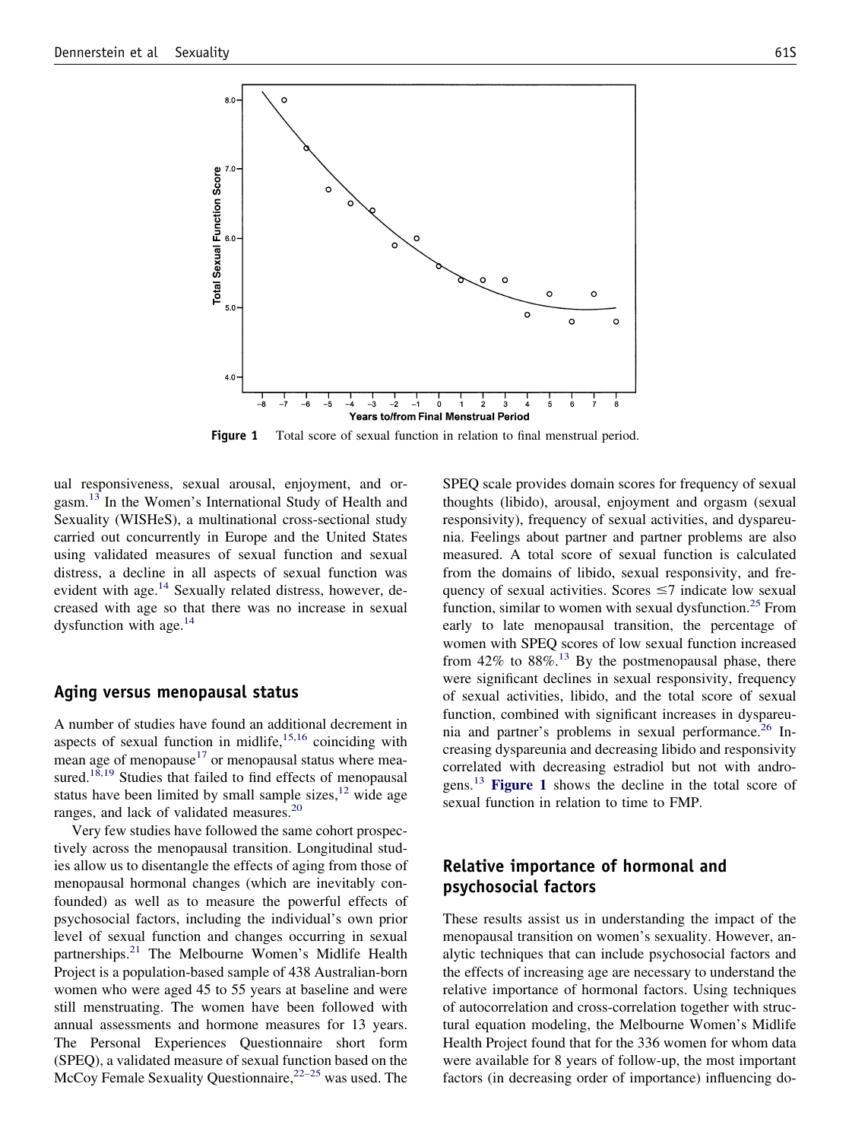

**Figure 1** Total score of sexual function in relation to final menstrual period.

ual responsiveness, sexual arousal, enjoyment, and orgasm.<sup>13</sup> In the Women's International Study of Health and Sexuality (WISHeS), a multinational cross-sectional study carried out concurrently in Europe and the United States using validated measures of sexual function and sexual distress, a decline in all aspects of sexual function was evident with age.<sup>14</sup> Sexually related distress, however, decreased with age so that there was no increase in sexual dysfunction with age. $^{14}$ 

#### **Aging versus menopausal status**

A number of studies have found an additional decrement in aspects of sexual function in midlife, $15,16$  coinciding with mean age of menopause $17$  or menopausal status where measured.<sup>18,19</sup> Studies that failed to find effects of menopausal status have been limited by small sample sizes,  $12$  wide age ranges, and lack of validated measures.<sup>20</sup>

Very few studies have followed the same cohort prospectively across the menopausal transition. Longitudinal studies allow us to disentangle the effects of aging from those of menopausal hormonal changes (which are inevitably confounded) as well as to measure the powerful effects of psychosocial factors, including the individual's own prior level of sexual function and changes occurring in sexual partnerships.<sup>21</sup> The Melbourne Women's Midlife Health Project is a population-based sample of 438 Australian-born women who were aged 45 to 55 years at baseline and were still menstruating. The women have been followed with annual assessments and hormone measures for 13 years. The Personal Experiences Questionnaire short form (SPEQ), a validated measure of sexual function based on the McCoy Female Sexuality Questionnaire,  $22-25$  was used. The

SPEQ scale provides domain scores for frequency of sexual thoughts (libido), arousal, enjoyment and orgasm (sexual responsivity), frequency of sexual activities, and dyspareunia. Feelings about partner and partner problems are also measured. A total score of sexual function is calculated from the domains of libido, sexual responsivity, and frequency of sexual activities. Scores  $\leq$ 7 indicate low sexual function, similar to women with sexual dysfunction.<sup>25</sup> From early to late menopausal transition, the percentage of women with SPEQ scores of low sexual function increased from  $42\%$  to  $88\%$ .<sup>13</sup> By the postmenopausal phase, there were significant declines in sexual responsivity, frequency of sexual activities, libido, and the total score of sexual function, combined with significant increases in dyspareunia and partner's problems in sexual performance.<sup>26</sup> Increasing dyspareunia and decreasing libido and responsivity correlated with decreasing estradiol but not with androgens[.13](#page-4-0) **Figure 1** shows the decline in the total score of sexual function in relation to time to FMP.

# **Relative importance of hormonal and psychosocial factors**

These results assist us in understanding the impact of the menopausal transition on women's sexuality. However, analytic techniques that can include psychosocial factors and the effects of increasing age are necessary to understand the relative importance of hormonal factors. Using techniques of autocorrelation and cross-correlation together with structural equation modeling, the Melbourne Women's Midlife Health Project found that for the 336 women for whom data were available for 8 years of follow-up, the most important factors (in decreasing order of importance) influencing do-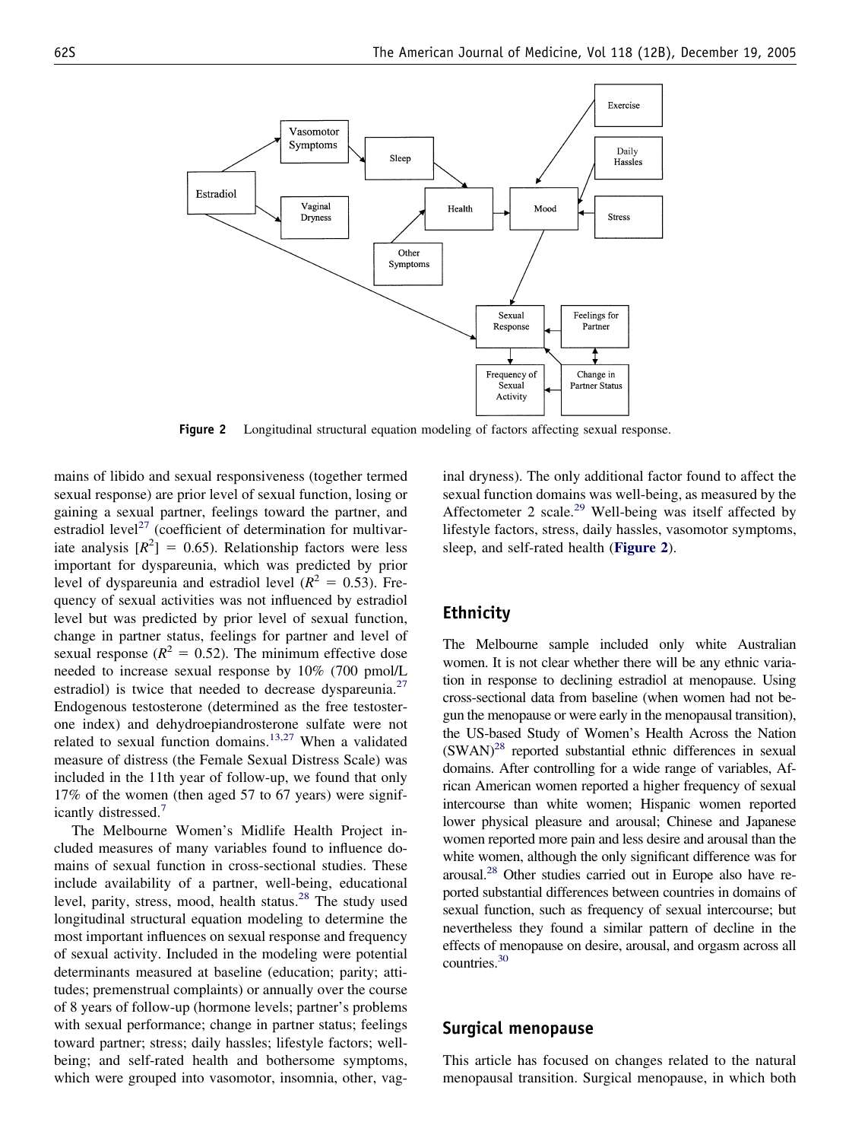

**Figure 2** Longitudinal structural equation modeling of factors affecting sexual response.

mains of libido and sexual responsiveness (together termed sexual response) are prior level of sexual function, losing or gaining a sexual partner, feelings toward the partner, and estradiol level<sup>27</sup> (coefficient of determination for multivariate analysis  $[R^2] = 0.65$ ). Relationship factors were less important for dyspareunia, which was predicted by prior level of dyspareunia and estradiol level  $(R^2 = 0.53)$ . Frequency of sexual activities was not influenced by estradiol level but was predicted by prior level of sexual function, change in partner status, feelings for partner and level of sexual response ( $R^2 = 0.52$ ). The minimum effective dose needed to increase sexual response by 10% (700 pmol/L estradiol) is twice that needed to decrease dyspareunia.<sup>27</sup> Endogenous testosterone (determined as the free testosterone index) and dehydroepiandrosterone sulfate were not related to sexual function domains.<sup>13,27</sup> When a validated measure of distress (the Female Sexual Distress Scale) was included in the 11th year of follow-up, we found that only 17% of the women (then aged 57 to 67 years) were significantly distressed[.7](#page-4-0)

The Melbourne Women's Midlife Health Project included measures of many variables found to influence domains of sexual function in cross-sectional studies. These include availability of a partner, well-being, educational level, parity, stress, mood, health status. $28$  The study used longitudinal structural equation modeling to determine the most important influences on sexual response and frequency of sexual activity. Included in the modeling were potential determinants measured at baseline (education; parity; attitudes; premenstrual complaints) or annually over the course of 8 years of follow-up (hormone levels; partner's problems with sexual performance; change in partner status; feelings toward partner; stress; daily hassles; lifestyle factors; wellbeing; and self-rated health and bothersome symptoms, which were grouped into vasomotor, insomnia, other, vag-

inal dryness). The only additional factor found to affect the sexual function domains was well-being, as measured by the Affectometer 2 scale.<sup>29</sup> Well-being was itself affected by lifestyle factors, stress, daily hassles, vasomotor symptoms, sleep, and self-rated health (**Figure 2**).

### **Ethnicity**

The Melbourne sample included only white Australian women. It is not clear whether there will be any ethnic variation in response to declining estradiol at menopause. Using cross-sectional data from baseline (when women had not begun the menopause or were early in the menopausal transition), the US-based Study of Women's Health Across the Nation  $(SWAN)^{28}$  reported substantial ethnic differences in sexual domains. After controlling for a wide range of variables, African American women reported a higher frequency of sexual intercourse than white women; Hispanic women reported lower physical pleasure and arousal; Chinese and Japanese women reported more pain and less desire and arousal than the white women, although the only significant difference was for arousal[.28](#page-4-0) Other studies carried out in Europe also have reported substantial differences between countries in domains of sexual function, such as frequency of sexual intercourse; but nevertheless they found a similar pattern of decline in the effects of menopause on desire, arousal, and orgasm across all countries[.30](#page-4-0)

#### **Surgical menopause**

This article has focused on changes related to the natural menopausal transition. Surgical menopause, in which both